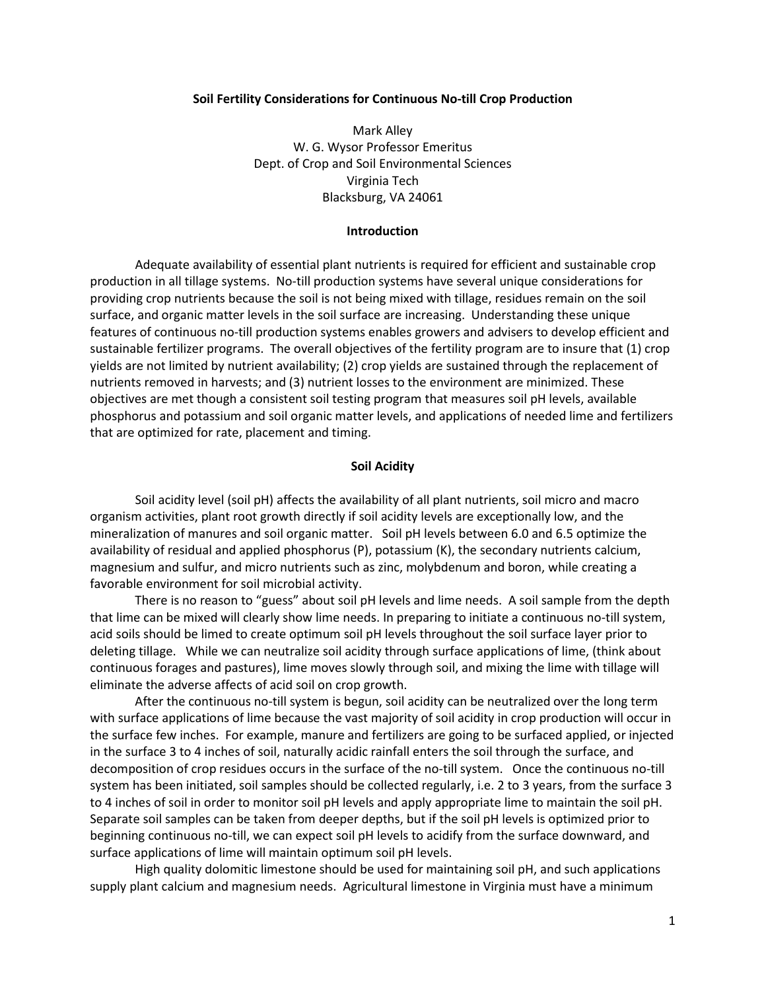#### **Soil Fertility Considerations for Continuous No-till Crop Production**

Mark Alley W. G. Wysor Professor Emeritus Dept. of Crop and Soil Environmental Sciences Virginia Tech Blacksburg, VA 24061

#### **Introduction**

Adequate availability of essential plant nutrients is required for efficient and sustainable crop production in all tillage systems. No-till production systems have several unique considerations for providing crop nutrients because the soil is not being mixed with tillage, residues remain on the soil surface, and organic matter levels in the soil surface are increasing. Understanding these unique features of continuous no-till production systems enables growers and advisers to develop efficient and sustainable fertilizer programs. The overall objectives of the fertility program are to insure that (1) crop yields are not limited by nutrient availability; (2) crop yields are sustained through the replacement of nutrients removed in harvests; and (3) nutrient losses to the environment are minimized. These objectives are met though a consistent soil testing program that measures soil pH levels, available phosphorus and potassium and soil organic matter levels, and applications of needed lime and fertilizers that are optimized for rate, placement and timing.

# **Soil Acidity**

Soil acidity level (soil pH) affects the availability of all plant nutrients, soil micro and macro organism activities, plant root growth directly if soil acidity levels are exceptionally low, and the mineralization of manures and soil organic matter. Soil pH levels between 6.0 and 6.5 optimize the availability of residual and applied phosphorus (P), potassium (K), the secondary nutrients calcium, magnesium and sulfur, and micro nutrients such as zinc, molybdenum and boron, while creating a favorable environment for soil microbial activity.

There is no reason to "guess" about soil pH levels and lime needs. A soil sample from the depth that lime can be mixed will clearly show lime needs. In preparing to initiate a continuous no-till system, acid soils should be limed to create optimum soil pH levels throughout the soil surface layer prior to deleting tillage. While we can neutralize soil acidity through surface applications of lime, (think about continuous forages and pastures), lime moves slowly through soil, and mixing the lime with tillage will eliminate the adverse affects of acid soil on crop growth.

After the continuous no-till system is begun, soil acidity can be neutralized over the long term with surface applications of lime because the vast majority of soil acidity in crop production will occur in the surface few inches. For example, manure and fertilizers are going to be surfaced applied, or injected in the surface 3 to 4 inches of soil, naturally acidic rainfall enters the soil through the surface, and decomposition of crop residues occurs in the surface of the no-till system. Once the continuous no-till system has been initiated, soil samples should be collected regularly, i.e. 2 to 3 years, from the surface 3 to 4 inches of soil in order to monitor soil pH levels and apply appropriate lime to maintain the soil pH. Separate soil samples can be taken from deeper depths, but if the soil pH levels is optimized prior to beginning continuous no-till, we can expect soil pH levels to acidify from the surface downward, and surface applications of lime will maintain optimum soil pH levels.

High quality dolomitic limestone should be used for maintaining soil pH, and such applications supply plant calcium and magnesium needs. Agricultural limestone in Virginia must have a minimum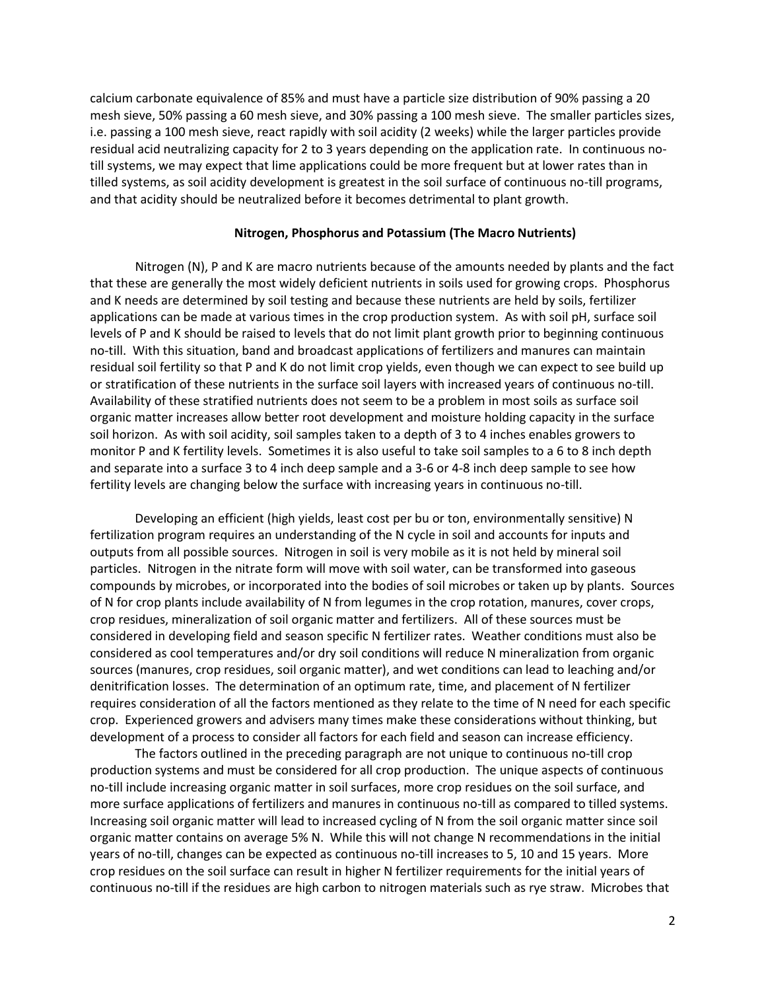calcium carbonate equivalence of 85% and must have a particle size distribution of 90% passing a 20 mesh sieve, 50% passing a 60 mesh sieve, and 30% passing a 100 mesh sieve. The smaller particles sizes, i.e. passing a 100 mesh sieve, react rapidly with soil acidity (2 weeks) while the larger particles provide residual acid neutralizing capacity for 2 to 3 years depending on the application rate. In continuous notill systems, we may expect that lime applications could be more frequent but at lower rates than in tilled systems, as soil acidity development is greatest in the soil surface of continuous no-till programs, and that acidity should be neutralized before it becomes detrimental to plant growth.

### **Nitrogen, Phosphorus and Potassium (The Macro Nutrients)**

Nitrogen (N), P and K are macro nutrients because of the amounts needed by plants and the fact that these are generally the most widely deficient nutrients in soils used for growing crops. Phosphorus and K needs are determined by soil testing and because these nutrients are held by soils, fertilizer applications can be made at various times in the crop production system. As with soil pH, surface soil levels of P and K should be raised to levels that do not limit plant growth prior to beginning continuous no-till. With this situation, band and broadcast applications of fertilizers and manures can maintain residual soil fertility so that P and K do not limit crop yields, even though we can expect to see build up or stratification of these nutrients in the surface soil layers with increased years of continuous no-till. Availability of these stratified nutrients does not seem to be a problem in most soils as surface soil organic matter increases allow better root development and moisture holding capacity in the surface soil horizon. As with soil acidity, soil samples taken to a depth of 3 to 4 inches enables growers to monitor P and K fertility levels. Sometimes it is also useful to take soil samples to a 6 to 8 inch depth and separate into a surface 3 to 4 inch deep sample and a 3-6 or 4-8 inch deep sample to see how fertility levels are changing below the surface with increasing years in continuous no-till.

Developing an efficient (high yields, least cost per bu or ton, environmentally sensitive) N fertilization program requires an understanding of the N cycle in soil and accounts for inputs and outputs from all possible sources. Nitrogen in soil is very mobile as it is not held by mineral soil particles. Nitrogen in the nitrate form will move with soil water, can be transformed into gaseous compounds by microbes, or incorporated into the bodies of soil microbes or taken up by plants. Sources of N for crop plants include availability of N from legumes in the crop rotation, manures, cover crops, crop residues, mineralization of soil organic matter and fertilizers. All of these sources must be considered in developing field and season specific N fertilizer rates. Weather conditions must also be considered as cool temperatures and/or dry soil conditions will reduce N mineralization from organic sources (manures, crop residues, soil organic matter), and wet conditions can lead to leaching and/or denitrification losses. The determination of an optimum rate, time, and placement of N fertilizer requires consideration of all the factors mentioned as they relate to the time of N need for each specific crop. Experienced growers and advisers many times make these considerations without thinking, but development of a process to consider all factors for each field and season can increase efficiency.

The factors outlined in the preceding paragraph are not unique to continuous no-till crop production systems and must be considered for all crop production. The unique aspects of continuous no-till include increasing organic matter in soil surfaces, more crop residues on the soil surface, and more surface applications of fertilizers and manures in continuous no-till as compared to tilled systems. Increasing soil organic matter will lead to increased cycling of N from the soil organic matter since soil organic matter contains on average 5% N. While this will not change N recommendations in the initial years of no-till, changes can be expected as continuous no-till increases to 5, 10 and 15 years. More crop residues on the soil surface can result in higher N fertilizer requirements for the initial years of continuous no-till if the residues are high carbon to nitrogen materials such as rye straw. Microbes that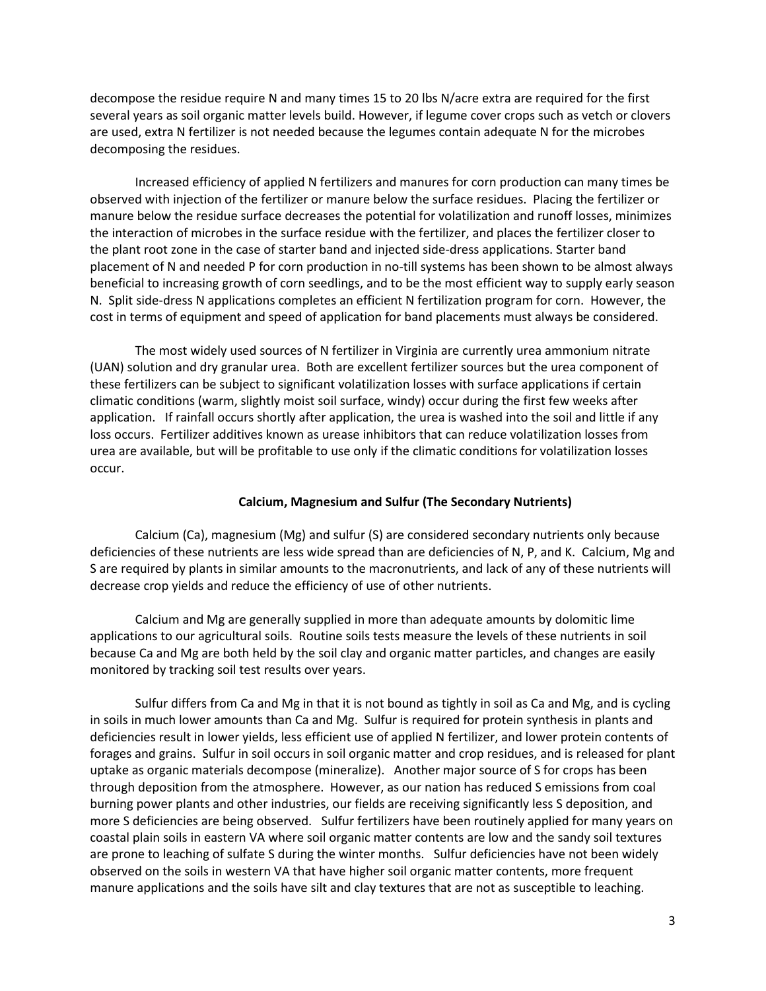decompose the residue require N and many times 15 to 20 lbs N/acre extra are required for the first several years as soil organic matter levels build. However, if legume cover crops such as vetch or clovers are used, extra N fertilizer is not needed because the legumes contain adequate N for the microbes decomposing the residues.

Increased efficiency of applied N fertilizers and manures for corn production can many times be observed with injection of the fertilizer or manure below the surface residues. Placing the fertilizer or manure below the residue surface decreases the potential for volatilization and runoff losses, minimizes the interaction of microbes in the surface residue with the fertilizer, and places the fertilizer closer to the plant root zone in the case of starter band and injected side-dress applications. Starter band placement of N and needed P for corn production in no-till systems has been shown to be almost always beneficial to increasing growth of corn seedlings, and to be the most efficient way to supply early season N. Split side-dress N applications completes an efficient N fertilization program for corn. However, the cost in terms of equipment and speed of application for band placements must always be considered.

The most widely used sources of N fertilizer in Virginia are currently urea ammonium nitrate (UAN) solution and dry granular urea. Both are excellent fertilizer sources but the urea component of these fertilizers can be subject to significant volatilization losses with surface applications if certain climatic conditions (warm, slightly moist soil surface, windy) occur during the first few weeks after application. If rainfall occurs shortly after application, the urea is washed into the soil and little if any loss occurs. Fertilizer additives known as urease inhibitors that can reduce volatilization losses from urea are available, but will be profitable to use only if the climatic conditions for volatilization losses occur.

# **Calcium, Magnesium and Sulfur (The Secondary Nutrients)**

Calcium (Ca), magnesium (Mg) and sulfur (S) are considered secondary nutrients only because deficiencies of these nutrients are less wide spread than are deficiencies of N, P, and K. Calcium, Mg and S are required by plants in similar amounts to the macronutrients, and lack of any of these nutrients will decrease crop yields and reduce the efficiency of use of other nutrients.

Calcium and Mg are generally supplied in more than adequate amounts by dolomitic lime applications to our agricultural soils. Routine soils tests measure the levels of these nutrients in soil because Ca and Mg are both held by the soil clay and organic matter particles, and changes are easily monitored by tracking soil test results over years.

Sulfur differs from Ca and Mg in that it is not bound as tightly in soil as Ca and Mg, and is cycling in soils in much lower amounts than Ca and Mg. Sulfur is required for protein synthesis in plants and deficiencies result in lower yields, less efficient use of applied N fertilizer, and lower protein contents of forages and grains. Sulfur in soil occurs in soil organic matter and crop residues, and is released for plant uptake as organic materials decompose (mineralize). Another major source of S for crops has been through deposition from the atmosphere. However, as our nation has reduced S emissions from coal burning power plants and other industries, our fields are receiving significantly less S deposition, and more S deficiencies are being observed. Sulfur fertilizers have been routinely applied for many years on coastal plain soils in eastern VA where soil organic matter contents are low and the sandy soil textures are prone to leaching of sulfate S during the winter months. Sulfur deficiencies have not been widely observed on the soils in western VA that have higher soil organic matter contents, more frequent manure applications and the soils have silt and clay textures that are not as susceptible to leaching.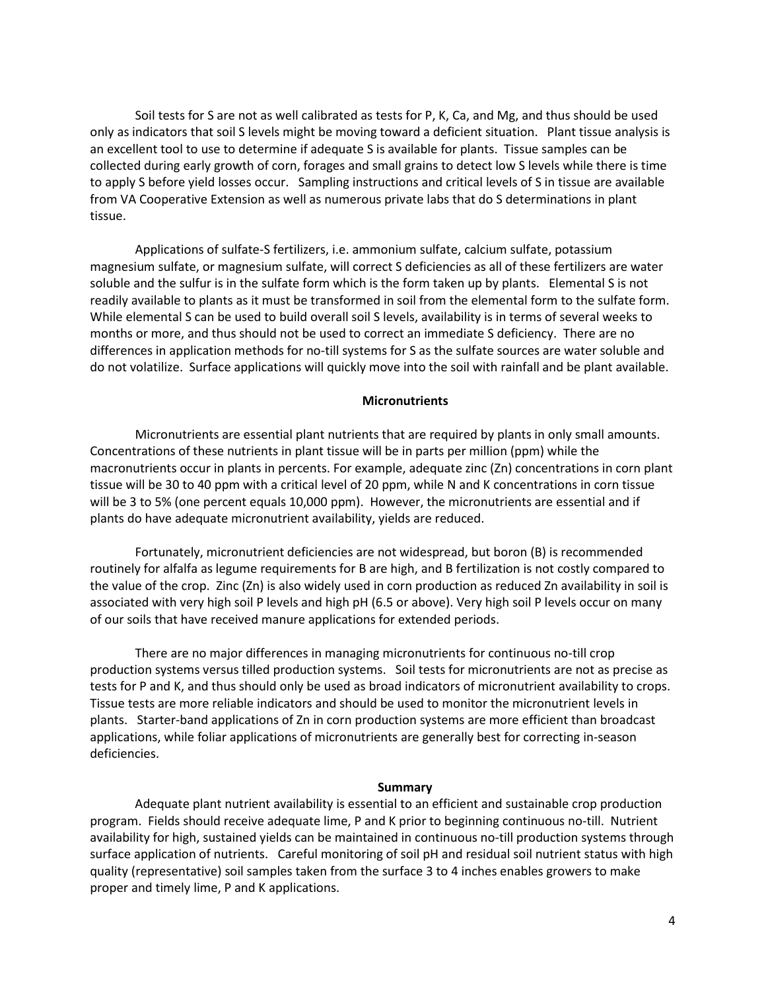Soil tests for S are not as well calibrated as tests for P, K, Ca, and Mg, and thus should be used only as indicators that soil S levels might be moving toward a deficient situation. Plant tissue analysis is an excellent tool to use to determine if adequate S is available for plants. Tissue samples can be collected during early growth of corn, forages and small grains to detect low S levels while there is time to apply S before yield losses occur. Sampling instructions and critical levels of S in tissue are available from VA Cooperative Extension as well as numerous private labs that do S determinations in plant tissue.

Applications of sulfate-S fertilizers, i.e. ammonium sulfate, calcium sulfate, potassium magnesium sulfate, or magnesium sulfate, will correct S deficiencies as all of these fertilizers are water soluble and the sulfur is in the sulfate form which is the form taken up by plants. Elemental S is not readily available to plants as it must be transformed in soil from the elemental form to the sulfate form. While elemental S can be used to build overall soil S levels, availability is in terms of several weeks to months or more, and thus should not be used to correct an immediate S deficiency. There are no differences in application methods for no-till systems for S as the sulfate sources are water soluble and do not volatilize. Surface applications will quickly move into the soil with rainfall and be plant available.

# **Micronutrients**

Micronutrients are essential plant nutrients that are required by plants in only small amounts. Concentrations of these nutrients in plant tissue will be in parts per million (ppm) while the macronutrients occur in plants in percents. For example, adequate zinc (Zn) concentrations in corn plant tissue will be 30 to 40 ppm with a critical level of 20 ppm, while N and K concentrations in corn tissue will be 3 to 5% (one percent equals 10,000 ppm). However, the micronutrients are essential and if plants do have adequate micronutrient availability, yields are reduced.

Fortunately, micronutrient deficiencies are not widespread, but boron (B) is recommended routinely for alfalfa as legume requirements for B are high, and B fertilization is not costly compared to the value of the crop. Zinc (Zn) is also widely used in corn production as reduced Zn availability in soil is associated with very high soil P levels and high pH (6.5 or above). Very high soil P levels occur on many of our soils that have received manure applications for extended periods.

There are no major differences in managing micronutrients for continuous no-till crop production systems versus tilled production systems. Soil tests for micronutrients are not as precise as tests for P and K, and thus should only be used as broad indicators of micronutrient availability to crops. Tissue tests are more reliable indicators and should be used to monitor the micronutrient levels in plants. Starter-band applications of Zn in corn production systems are more efficient than broadcast applications, while foliar applications of micronutrients are generally best for correcting in-season deficiencies.

### **Summary**

Adequate plant nutrient availability is essential to an efficient and sustainable crop production program. Fields should receive adequate lime, P and K prior to beginning continuous no-till. Nutrient availability for high, sustained yields can be maintained in continuous no-till production systems through surface application of nutrients. Careful monitoring of soil pH and residual soil nutrient status with high quality (representative) soil samples taken from the surface 3 to 4 inches enables growers to make proper and timely lime, P and K applications.